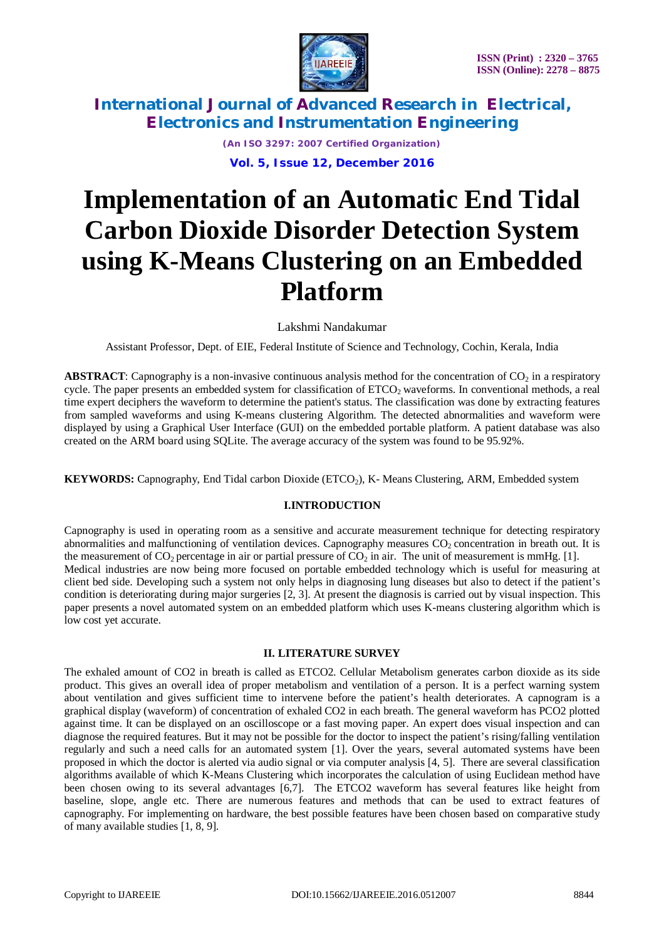

> *(An ISO 3297: 2007 Certified Organization)* **Vol. 5, Issue 12, December 2016**

# **Implementation of an Automatic End Tidal Carbon Dioxide Disorder Detection System using K-Means Clustering on an Embedded Platform**

Lakshmi Nandakumar

Assistant Professor, Dept. of EIE, Federal Institute of Science and Technology, Cochin, Kerala, India

**ABSTRACT**: Capnography is a non-invasive continuous analysis method for the concentration of  $CO<sub>2</sub>$  in a respiratory cycle. The paper presents an embedded system for classification of  $ETCO<sub>2</sub>$  waveforms. In conventional methods, a real time expert deciphers the waveform to determine the patient's status. The classification was done by extracting features from sampled waveforms and using K-means clustering Algorithm. The detected abnormalities and waveform were displayed by using a Graphical User Interface (GUI) on the embedded portable platform. A patient database was also created on the ARM board using SQLite. The average accuracy of the system was found to be 95.92%.

**KEYWORDS:** Capnography, End Tidal carbon Dioxide (ETCO<sub>2</sub>), K- Means Clustering, ARM, Embedded system

#### **I.INTRODUCTION**

Capnography is used in operating room as a sensitive and accurate measurement technique for detecting respiratory abnormalities and malfunctioning of ventilation devices. Capnography measures  $CO<sub>2</sub>$  concentration in breath out. It is the measurement of  $CO_2$  percentage in air or partial pressure of  $CO_2$  in air. The unit of measurement is mmHg. [1]. Medical industries are now being more focused on portable embedded technology which is useful for measuring at client bed side. Developing such a system not only helps in diagnosing lung diseases but also to detect if the patient's condition is deteriorating during major surgeries [2, 3]. At present the diagnosis is carried out by visual inspection. This paper presents a novel automated system on an embedded platform which uses K-means clustering algorithm which is low cost yet accurate.

### **II. LITERATURE SURVEY**

The exhaled amount of CO2 in breath is called as ETCO2. Cellular Metabolism generates carbon dioxide as its side product. This gives an overall idea of proper metabolism and ventilation of a person. It is a perfect warning system about ventilation and gives sufficient time to intervene before the patient's health deteriorates. A capnogram is a graphical display (waveform) of concentration of exhaled CO2 in each breath. The general waveform has PCO2 plotted against time. It can be displayed on an oscilloscope or a fast moving paper. An expert does visual inspection and can diagnose the required features. But it may not be possible for the doctor to inspect the patient's rising/falling ventilation regularly and such a need calls for an automated system [1]. Over the years, several automated systems have been proposed in which the doctor is alerted via audio signal or via computer analysis [4, 5]. There are several classification algorithms available of which K-Means Clustering which incorporates the calculation of using Euclidean method have been chosen owing to its several advantages [6,7]. The ETCO2 waveform has several features like height from baseline, slope, angle etc. There are numerous features and methods that can be used to extract features of capnography. For implementing on hardware, the best possible features have been chosen based on comparative study of many available studies [1, 8, 9].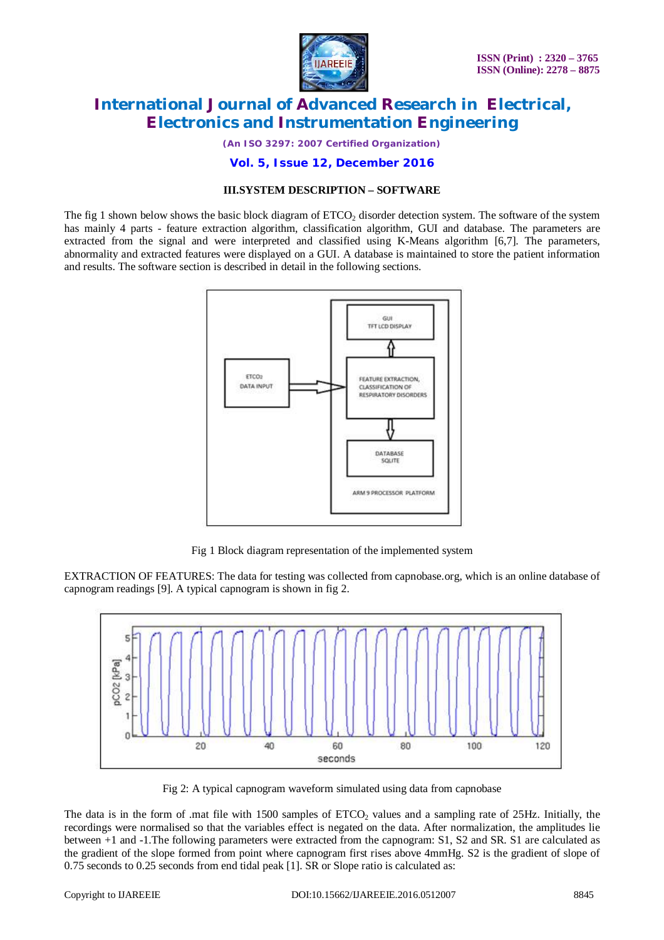

*(An ISO 3297: 2007 Certified Organization)*

**Vol. 5, Issue 12, December 2016**

#### **III.SYSTEM DESCRIPTION – SOFTWARE**

The fig 1 shown below shows the basic block diagram of  $ETCO<sub>2</sub>$  disorder detection system. The software of the system has mainly 4 parts - feature extraction algorithm, classification algorithm, GUI and database. The parameters are extracted from the signal and were interpreted and classified using K-Means algorithm [6,7]. The parameters, abnormality and extracted features were displayed on a GUI. A database is maintained to store the patient information and results. The software section is described in detail in the following sections.



Fig 1 Block diagram representation of the implemented system

EXTRACTION OF FEATURES: The data for testing was collected from capnobase.org, which is an online database of capnogram readings [9]. A typical capnogram is shown in fig 2.



Fig 2: A typical capnogram waveform simulated using data from capnobase

The data is in the form of .mat file with 1500 samples of ETCO<sub>2</sub> values and a sampling rate of 25Hz. Initially, the recordings were normalised so that the variables effect is negated on the data. After normalization, the amplitudes lie between +1 and -1.The following parameters were extracted from the capnogram: S1, S2 and SR. S1 are calculated as the gradient of the slope formed from point where capnogram first rises above 4mmHg. S2 is the gradient of slope of 0.75 seconds to 0.25 seconds from end tidal peak [1]. SR or Slope ratio is calculated as: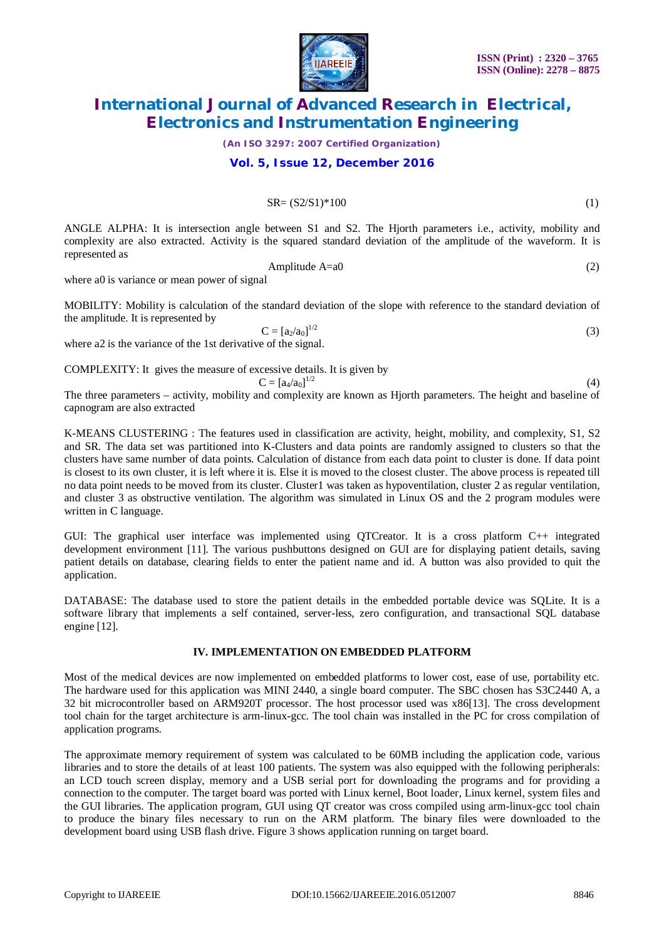

*(An ISO 3297: 2007 Certified Organization)*

### **Vol. 5, Issue 12, December 2016**

#### $S$ R=  $(S2/S1)*100$  (1)

ANGLE ALPHA: It is intersection angle between S1 and S2. The Hjorth parameters i.e., activity, mobility and complexity are also extracted. Activity is the squared standard deviation of the amplitude of the waveform. It is represented as

$$
Amplitude A=a0 \tag{2}
$$

where a0 is variance or mean power of signal

MOBILITY: Mobility is calculation of the standard deviation of the slope with reference to the standard deviation of the amplitude. It is represented by

 $C = [a_2/a_0]^{1/2}$ (3)

where a2 is the variance of the 1st derivative of the signal.

COMPLEXITY: It gives the measure of excessive details. It is given by

 $C = [a_4/a_0]^{1/2}$ 

 (4) The three parameters – activity, mobility and complexity are known as Hjorth parameters. The height and baseline of capnogram are also extracted

K-MEANS CLUSTERING : The features used in classification are activity, height, mobility, and complexity, S1, S2 and SR. The data set was partitioned into K-Clusters and data points are randomly assigned to clusters so that the clusters have same number of data points. Calculation of distance from each data point to cluster is done. If data point is closest to its own cluster, it is left where it is. Else it is moved to the closest cluster. The above process is repeated till no data point needs to be moved from its cluster. Cluster1 was taken as hypoventilation, cluster 2 as regular ventilation, and cluster 3 as obstructive ventilation. The algorithm was simulated in Linux OS and the 2 program modules were written in C language.

GUI: The graphical user interface was implemented using QTCreator. It is a cross platform C++ integrated development environment [11]. The various pushbuttons designed on GUI are for displaying patient details, saving patient details on database, clearing fields to enter the patient name and id. A button was also provided to quit the application.

DATABASE: The database used to store the patient details in the embedded portable device was SQLite. It is a software library that implements a self contained, server-less, zero configuration, and transactional SQL database engine [12].

### **IV. IMPLEMENTATION ON EMBEDDED PLATFORM**

Most of the medical devices are now implemented on embedded platforms to lower cost, ease of use, portability etc. The hardware used for this application was MINI 2440, a single board computer. The SBC chosen has S3C2440 A, a 32 bit microcontroller based on ARM920T processor. The host processor used was x86[13]. The cross development tool chain for the target architecture is arm-linux-gcc. The tool chain was installed in the PC for cross compilation of application programs.

The approximate memory requirement of system was calculated to be 60MB including the application code, various libraries and to store the details of at least 100 patients. The system was also equipped with the following peripherals: an LCD touch screen display, memory and a USB serial port for downloading the programs and for providing a connection to the computer. The target board was ported with Linux kernel, Boot loader, Linux kernel, system files and the GUI libraries. The application program, GUI using QT creator was cross compiled using arm-linux-gcc tool chain to produce the binary files necessary to run on the ARM platform. The binary files were downloaded to the development board using USB flash drive. Figure 3 shows application running on target board.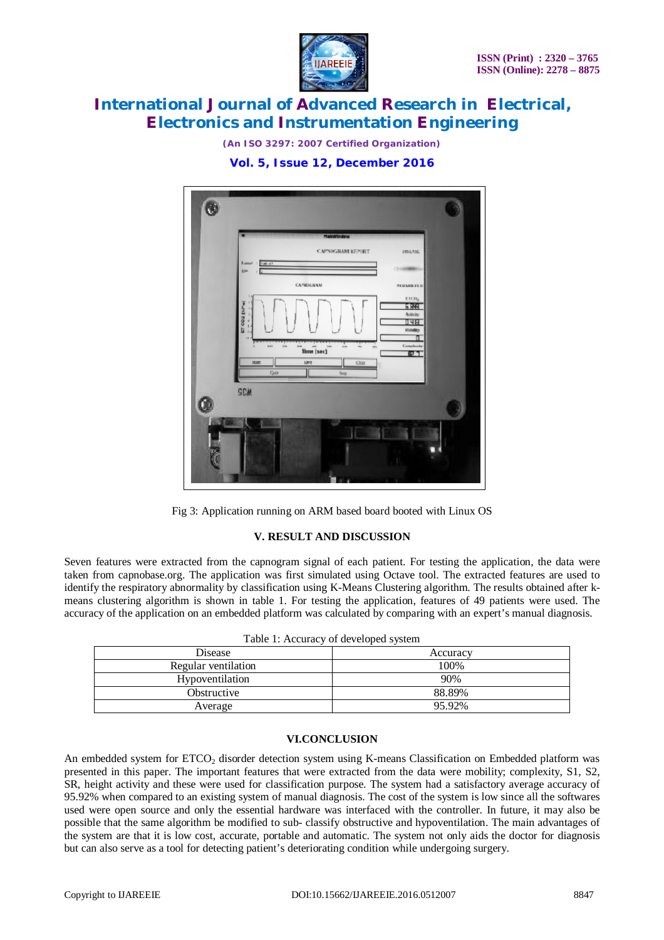

*(An ISO 3297: 2007 Certified Organization)*







## **V. RESULT AND DISCUSSION**

Seven features were extracted from the capnogram signal of each patient. For testing the application, the data were taken from capnobase.org. The application was first simulated using Octave tool. The extracted features are used to identify the respiratory abnormality by classification using K-Means Clustering algorithm. The results obtained after kmeans clustering algorithm is shown in table 1. For testing the application, features of 49 patients were used. The accuracy of the application on an embedded platform was calculated by comparing with an expert's manual diagnosis.

| Table 1: Accuracy of developed system |          |
|---------------------------------------|----------|
| <b>Disease</b>                        | Accuracy |
| Regular ventilation                   | 100\%    |
| Hypoventilation                       | 90%      |
| Obstructive                           | 88.89%   |
| Average                               | 95.92%   |
|                                       |          |

## **VI.CONCLUSION**

An embedded system for ETCO<sub>2</sub> disorder detection system using K-means Classification on Embedded platform was presented in this paper. The important features that were extracted from the data were mobility; complexity, S1, S2, SR, height activity and these were used for classification purpose. The system had a satisfactory average accuracy of 95.92% when compared to an existing system of manual diagnosis. The cost of the system is low since all the softwares used were open source and only the essential hardware was interfaced with the controller. In future, it may also be possible that the same algorithm be modified to sub- classify obstructive and hypoventilation. The main advantages of the system are that it is low cost, accurate, portable and automatic. The system not only aids the doctor for diagnosis but can also serve as a tool for detecting patient's deteriorating condition while undergoing surgery.